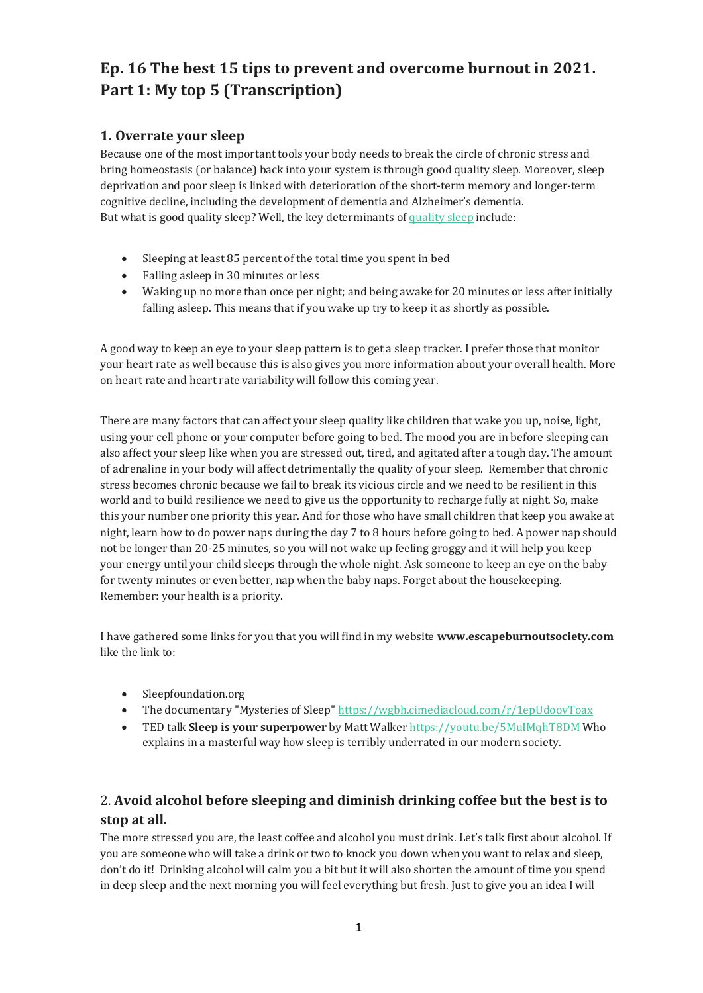# **Ep. 16 The best 15 tips to prevent and overcome burnout in 2021. Part 1: My top 5 (Transcription)**

## **1. Overrate your sleep**

Because one of the most important tools your body needs to break the circle of chronic stress and bring homeostasis (or balance) back into your system is through good quality sleep. Moreover, sleep deprivation and poor sleep is linked with deterioration of the short-term memory and longer-term cognitive decline, including the development of dementia and Alzheimer's dementia. But what is good quality sleep? Well, the key determinants of [quality sleep](https://www.sleepfoundation.org/sleep-hygiene/healthy-sleep-tips) include:

- Sleeping at least 85 percent of the total time you spent in bed
- Falling asleep in 30 minutes or less
- Waking up no more than once per night; and being awake for 20 minutes or less after initially falling asleep. This means that if you wake up try to keep it as shortly as possible.

A good way to keep an eye to your sleep pattern is to get a sleep tracker. I prefer those that monitor your heart rate as well because this is also gives you more information about your overall health. More on heart rate and heart rate variability will follow this coming year.

There are many factors that can affect your sleep quality like children that wake you up, noise, light, using your cell phone or your computer before going to bed. The mood you are in before sleeping can also affect your sleep like when you are stressed out, tired, and agitated after a tough day. The amount of adrenaline in your body will affect detrimentally the quality of your sleep. Remember that chronic stress becomes chronic because we fail to break its vicious circle and we need to be resilient in this world and to build resilience we need to give us the opportunity to recharge fully at night. So, make this your number one priority this year. And for those who have small children that keep you awake at night, learn how to do power naps during the day 7 to 8 hours before going to bed. A power nap should not be longer than 20-25 minutes, so you will not wake up feeling groggy and it will help you keep your energy until your child sleeps through the whole night. Ask someone to keep an eye on the baby for twenty minutes or even better, nap when the baby naps. Forget about the housekeeping. Remember: your health is a priority.

I have gathered some links for you that you will find in my website **www.escapeburnoutsociety.com** like the link to:

- Sleepfoundation.org
- The documentary "Mysteries of Sleep" <https://wgbh.cimediacloud.com/r/1epUdoovToax>
- TED talk **Sleep is your superpower** by Matt Walker<https://youtu.be/5MuIMqhT8DM> Who explains in a masterful way how sleep is terribly underrated in our modern society.

# 2. **Avoid alcohol before sleeping and diminish drinking coffee but the best is to stop at all.**

The more stressed you are, the least coffee and alcohol you must drink. Let's talk first about alcohol. If you are someone who will take a drink or two to knock you down when you want to relax and sleep, don't do it! Drinking alcohol will calm you a bit but it will also shorten the amount of time you spend in deep sleep and the next morning you will feel everything but fresh. Just to give you an idea I will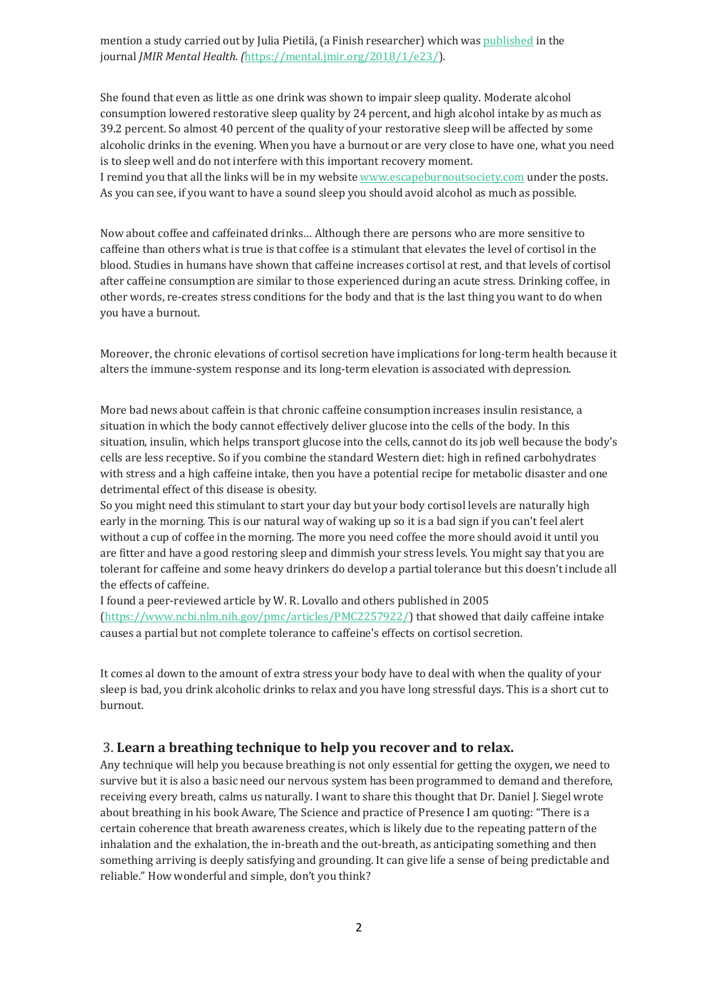mention a study carried out by Julia Pietilä, (a Finish researcher) which was [published](http://mental.jmir.org/2018/1/e23/) in the journal *JMIR Mental Health. (*[https://mental.jmir.org/2018/1/e23/\)](https://mental.jmir.org/2018/1/e23/)*.*

She found that even as little as one drink was shown to impair sleep quality. Moderate alcohol consumption lowered restorative sleep quality by 24 percent, and high alcohol intake by as much as 39.2 percent. So almost 40 percent of the quality of your restorative sleep will be affected by some alcoholic drinks in the evening. When you have a burnout or are very close to have one, what you need is to sleep well and do not interfere with this important recovery moment. I remind you that all the links will be in my website [www.escapeburnoutsociety.com](http://www.escapeburnoutsociety.com/) under the posts. As you can see, if you want to have a sound sleep you should avoid alcohol as much as possible.

Now about coffee and caffeinated drinks… Although there are persons who are more sensitive to caffeine than others what is true is that coffee is a stimulant that elevates the level of cortisol in the blood. Studies in humans have shown that caffeine increases cortisol at rest, and that levels of cortisol after caffeine consumption are similar to those experienced during an acute stress. Drinking coffee, in other words, re-creates stress conditions for the body and that is the last thing you want to do when you have a burnout.

Moreover, the chronic elevations of cortisol secretion have implications for long-term health because it alters the immune-system response and its long-term elevation is associated with depression.

More bad news about caffein is that chronic caffeine consumption increases insulin resistance, a situation in which the body cannot effectively deliver glucose into the cells of the body. In this situation, insulin, which helps transport glucose into the cells, cannot do its job well because the body's cells are less receptive. So if you combine the standard Western diet: high in refined carbohydrates with stress and a high caffeine intake, then you have a potential recipe for metabolic disaster and one detrimental effect of this disease is obesity.

So you might need this stimulant to start your day but your body cortisol levels are naturally high early in the morning. This is our natural way of waking up so it is a bad sign if you can't feel alert without a cup of coffee in the morning. The more you need coffee the more should avoid it until you are fitter and have a good restoring sleep and dimmish your stress levels. You might say that you are tolerant for caffeine and some heavy drinkers do develop a partial tolerance but this doesn't include all the effects of caffeine.

I found a peer-reviewed article by W. R. Lovallo and others published in 2005 [\(https://www.ncbi.nlm.nih.gov/pmc/articles/PMC2257922/\)](https://www.ncbi.nlm.nih.gov/pmc/articles/PMC2257922/) that showed that daily caffeine intake causes a partial but not complete tolerance to caffeine's effects on cortisol secretion.

It comes al down to the amount of extra stress your body have to deal with when the quality of your sleep is bad, you drink alcoholic drinks to relax and you have long stressful days. This is a short cut to burnout.

#### 3. **Learn a breathing technique to help you recover and to relax.**

Any technique will help you because breathing is not only essential for getting the oxygen, we need to survive but it is also a basic need our nervous system has been programmed to demand and therefore, receiving every breath, calms us naturally. I want to share this thought that Dr. Daniel J. Siegel wrote about breathing in his book Aware, The Science and practice of Presence I am quoting: "There is a certain coherence that breath awareness creates, which is likely due to the repeating pattern of the inhalation and the exhalation, the in-breath and the out-breath, as anticipating something and then something arriving is deeply satisfying and grounding. It can give life a sense of being predictable and reliable." How wonderful and simple, don't you think?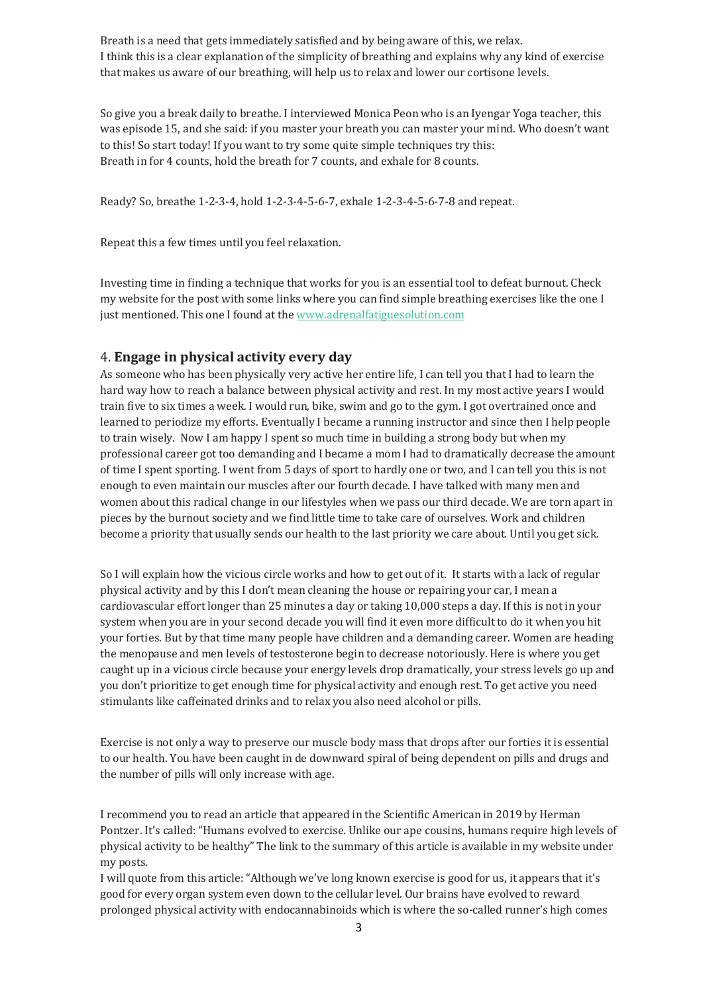Breath is a need that gets immediately satisfied and by being aware of this, we relax. I think this is a clear explanation of the simplicity of breathing and explains why any kind of exercise that makes us aware of our breathing, will help us to relax and lower our cortisone levels.

So give you a break daily to breathe. I interviewed Monica Peon who is an Iyengar Yoga teacher, this was episode 15, and she said: if you master your breath you can master your mind. Who doesn't want to this! So start today! If you want to try some quite simple techniques try this: Breath in for 4 counts, hold the breath for 7 counts, and exhale for 8 counts.

Ready? So, breathe 1-2-3-4, hold 1-2-3-4-5-6-7, exhale 1-2-3-4-5-6-7-8 and repeat.

Repeat this a few times until you feel relaxation.

Investing time in finding a technique that works for you is an essential tool to defeat burnout. Check my website for the post with some links where you can find simple breathing exercises like the one I just mentioned. This one I found at th[e www.adrenalfatiguesolution.com](http://www.adrenalfatiguesolution.com/)

### 4. **Engage in physical activity every day**

As someone who has been physically very active her entire life, I can tell you that I had to learn the hard way how to reach a balance between physical activity and rest. In my most active years I would train five to six times a week. I would run, bike, swim and go to the gym. I got overtrained once and learned to periodize my efforts. Eventually I became a running instructor and since then I help people to train wisely. Now I am happy I spent so much time in building a strong body but when my professional career got too demanding and I became a mom I had to dramatically decrease the amount of time I spent sporting. I went from 5 days of sport to hardly one or two, and I can tell you this is not enough to even maintain our muscles after our fourth decade. I have talked with many men and women about this radical change in our lifestyles when we pass our third decade. We are torn apart in pieces by the burnout society and we find little time to take care of ourselves. Work and children become a priority that usually sends our health to the last priority we care about. Until you get sick.

So I will explain how the vicious circle works and how to get out of it. It starts with a lack of regular physical activity and by this I don't mean cleaning the house or repairing your car, I mean a cardiovascular effort longer than 25 minutes a day or taking 10,000 steps a day. If this is not in your system when you are in your second decade you will find it even more difficult to do it when you hit your forties. But by that time many people have children and a demanding career. Women are heading the menopause and men levels of testosterone begin to decrease notoriously. Here is where you get caught up in a vicious circle because your energy levels drop dramatically, your stress levels go up and you don't prioritize to get enough time for physical activity and enough rest. To get active you need stimulants like caffeinated drinks and to relax you also need alcohol or pills.

Exercise is not only a way to preserve our muscle body mass that drops after our forties it is essential to our health. You have been caught in de downward spiral of being dependent on pills and drugs and the number of pills will only increase with age.

I recommend you to read an article that appeared in the Scientific American in 2019 by Herman Pontzer. It's called: "Humans evolved to exercise. Unlike our ape cousins, humans require high levels of physical activity to be healthy" The link to the summary of this article is available in my website under my posts.

I will quote from this article: "Although we've long known exercise is good for us, it appears that it's good for every organ system even down to the cellular level. Our brains have evolved to reward prolonged physical activity with endocannabinoids which is where the so-called runner's high comes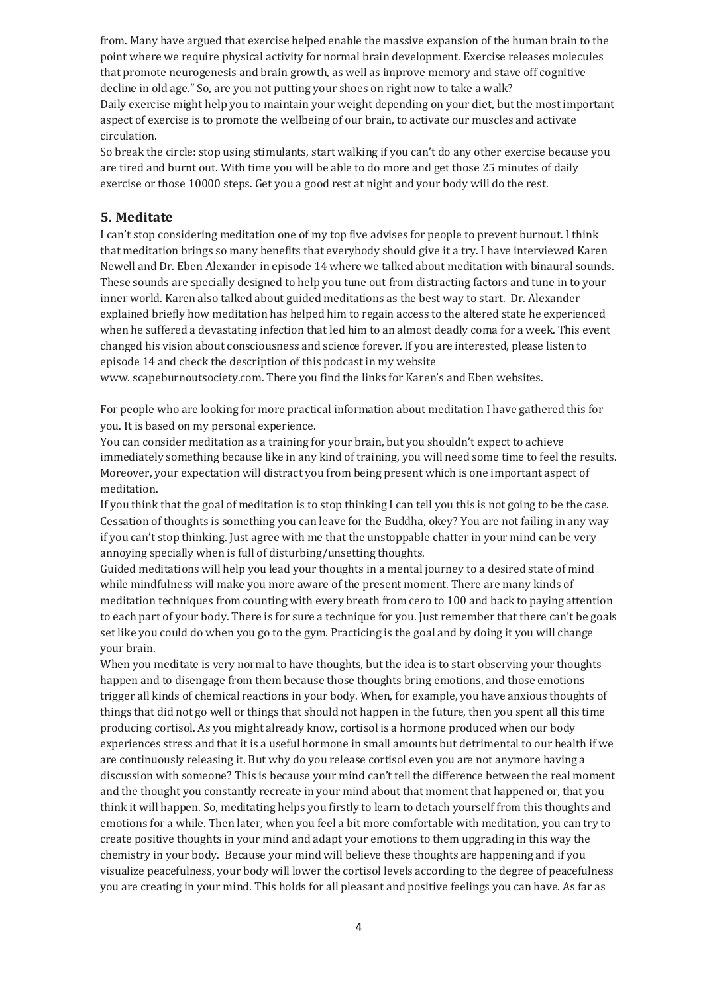from. Many have argued that exercise helped enable the massive expansion of the human brain to the point where we require physical activity for normal brain development. Exercise releases molecules that promote neurogenesis and brain growth, as well as improve memory and stave off cognitive decline in old age." So, are you not putting your shoes on right now to take a walk? Daily exercise might help you to maintain your weight depending on your diet, but the most important aspect of exercise is to promote the wellbeing of our brain, to activate our muscles and activate circulation.

So break the circle: stop using stimulants, start walking if you can't do any other exercise because you are tired and burnt out. With time you will be able to do more and get those 25 minutes of daily exercise or those 10000 steps. Get you a good rest at night and your body will do the rest.

### **5. Meditate**

I can't stop considering meditation one of my top five advises for people to prevent burnout. I think that meditation brings so many benefits that everybody should give it a try. I have interviewed Karen Newell and Dr. Eben Alexander in episode 14 where we talked about meditation with binaural sounds. These sounds are specially designed to help you tune out from distracting factors and tune in to your inner world. Karen also talked about guided meditations as the best way to start. Dr. Alexander explained briefly how meditation has helped him to regain access to the altered state he experienced when he suffered a devastating infection that led him to an almost deadly coma for a week. This event changed his vision about consciousness and science forever. If you are interested, please listen to episode 14 and check the description of this podcast in my website

www. scapeburnoutsociety.com. There you find the links for Karen's and Eben websites.

For people who are looking for more practical information about meditation I have gathered this for you. It is based on my personal experience.

You can consider meditation as a training for your brain, but you shouldn't expect to achieve immediately something because like in any kind of training, you will need some time to feel the results. Moreover, your expectation will distract you from being present which is one important aspect of meditation.

If you think that the goal of meditation is to stop thinking I can tell you this is not going to be the case. Cessation of thoughts is something you can leave for the Buddha, okey? You are not failing in any way if you can't stop thinking. Just agree with me that the unstoppable chatter in your mind can be very annoying specially when is full of disturbing/unsetting thoughts.

Guided meditations will help you lead your thoughts in a mental journey to a desired state of mind while mindfulness will make you more aware of the present moment. There are many kinds of meditation techniques from counting with every breath from cero to 100 and back to paying attention to each part of your body. There is for sure a technique for you. Just remember that there can't be goals set like you could do when you go to the gym. Practicing is the goal and by doing it you will change your brain.

When you meditate is very normal to have thoughts, but the idea is to start observing your thoughts happen and to disengage from them because those thoughts bring emotions, and those emotions trigger all kinds of chemical reactions in your body. When, for example, you have anxious thoughts of things that did not go well or things that should not happen in the future, then you spent all this time producing cortisol. As you might already know, cortisol is a hormone produced when our body experiences stress and that it is a useful hormone in small amounts but detrimental to our health if we are continuously releasing it. But why do you release cortisol even you are not anymore having a discussion with someone? This is because your mind can't tell the difference between the real moment and the thought you constantly recreate in your mind about that moment that happened or, that you think it will happen. So, meditating helps you firstly to learn to detach yourself from this thoughts and emotions for a while. Then later, when you feel a bit more comfortable with meditation, you can try to create positive thoughts in your mind and adapt your emotions to them upgrading in this way the chemistry in your body. Because your mind will believe these thoughts are happening and if you visualize peacefulness, your body will lower the cortisol levels according to the degree of peacefulness you are creating in your mind. This holds for all pleasant and positive feelings you can have. As far as